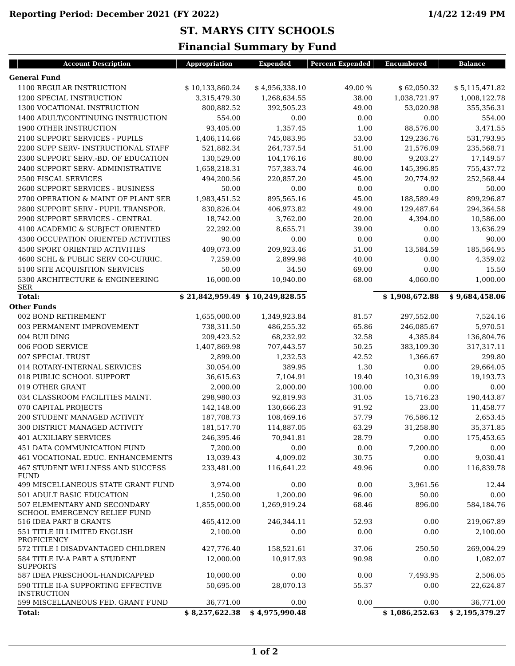**ST. MARYS CITY SCHOOLS**

## **Financial Summary by Fund**

| <b>General Fund</b><br>1100 REGULAR INSTRUCTION<br>\$10,133,860.24<br>\$4,956,338.10<br>49.00 %<br>\$5,115,471.82<br>\$62,050.32<br>1200 SPECIAL INSTRUCTION<br>3,315,479.30<br>1,268,634.55<br>38.00<br>1,038,721.97<br>1300 VOCATIONAL INSTRUCTION<br>800,882.52<br>392,505.23<br>49.00<br>53,020.98<br>355,356.31<br>1400 ADULT/CONTINUING INSTRUCTION<br>554.00<br>0.00<br>0.00<br>0.00<br>93,405.00<br>1.00<br>88,576.00<br><b>1900 OTHER INSTRUCTION</b><br>1,357.45<br>2100 SUPPORT SERVICES - PUPILS<br>1,406,114.66<br>745,083.95<br>53.00<br>129,236.76<br>531,793.95<br>521,882.34<br>2200 SUPP SERV- INSTRUCTIONAL STAFF<br>264,737.54<br>51.00<br>21,576.09<br>235,568.71<br>9,203.27<br>2300 SUPPORT SERV.-BD. OF EDUCATION<br>130,529.00<br>104,176.16<br>80.00<br>2400 SUPPORT SERV- ADMINISTRATIVE<br>1,658,218.31<br>757,383.74<br>46.00<br>145,396.85<br>755,437.72<br><b>2500 FISCAL SERVICES</b><br>494,200.56<br>220,857.20<br>45.00<br>20,774.92<br>252,568.44<br>50.00<br>$0.00\,$<br>0.00<br>2600 SUPPORT SERVICES - BUSINESS<br>0.00<br>188,589.49<br>899,296.87<br>2700 OPERATION & MAINT OF PLANT SER<br>1,983,451.52<br>895,565.16<br>45.00<br>2800 SUPPORT SERV - PUPIL TRANSPOR.<br>830,826.04<br>406,973.82<br>49.00<br>129,487.64<br>2900 SUPPORT SERVICES - CENTRAL<br>18,742.00<br>3,762.00<br>20.00<br>4,394.00<br>4100 ACADEMIC & SUBJECT ORIENTED<br>22,292.00<br>8,655.71<br>39.00<br>0.00<br>0.00<br>4300 OCCUPATION ORIENTED ACTIVITIES<br>90.00<br>0.00<br>0.00<br>409,073.00<br><b>4500 SPORT ORIENTED ACTIVITIES</b><br>209,923.46<br>51.00<br>13,584.59<br>185,564.95<br>4600 SCHL & PUBLIC SERV CO-CURRIC.<br>4,359.02<br>7,259.00<br>2,899.98<br>40.00<br>0.00<br>5100 SITE ACQUISITION SERVICES<br>50.00<br>34.50<br>69.00<br>0.00<br>5300 ARCHITECTURE & ENGINEERING<br>16,000.00<br>10,940.00<br>68.00<br>4,060.00<br>1,000.00<br><b>SER</b><br><b>Total:</b><br>$$21,842,959.49$$ \$10,249,828.55<br>\$1,908,672.88<br>\$9,684,458.06<br><b>Other Funds</b><br>002 BOND RETIREMENT<br>1,655,000.00<br>1,349,923.84<br>81.57<br>297,552.00<br>738,311.50<br>65.86<br>5,970.51<br>003 PERMANENT IMPROVEMENT<br>486,255.32<br>246,085.67<br>68,232.92<br>32.58<br>004 BUILDING<br>209,423.52<br>4,385.84<br>006 FOOD SERVICE<br>50.25<br>1,407,869.98<br>707,443.57<br>383,109.30<br>317,317.11<br>007 SPECIAL TRUST<br>2,899.00<br>1,232.53<br>42.52<br>1,366.67<br>389.95<br>1.30<br>014 ROTARY-INTERNAL SERVICES<br>30,054.00<br>0.00<br>018 PUBLIC SCHOOL SUPPORT<br>7,104.91<br>19.40<br>10,316.99<br>36,615.63<br>019 OTHER GRANT<br>2,000.00<br>2,000.00<br>100.00<br>0.00<br>034 CLASSROOM FACILITIES MAINT.<br>298,980.03<br>15,716.23<br>92,819.93<br>31.05<br>190,443.87<br>070 CAPITAL PROJECTS<br>91.92<br>142,148.00<br>130,666.23<br>23.00<br>200 STUDENT MANAGED ACTIVITY<br>187,708.73<br>108,469.16<br>57.79<br>76,586.12<br>300 DISTRICT MANAGED ACTIVITY<br>181,517.70<br>114,887.05<br>63.29<br>31,258.80<br>28.79<br><b>401 AUXILIARY SERVICES</b><br>246,395.46<br>70,941.81<br>0.00<br>451 DATA COMMUNICATION FUND<br>7,200.00<br>0.00<br>0.00<br>7,200.00<br>461 VOCATIONAL EDUC. ENHANCEMENTS<br>13,039.43<br>4,009.02<br>30.75<br>9,030.41<br>0.00<br>467 STUDENT WELLNESS AND SUCCESS<br>0.00<br>233,481.00<br>116,641.22<br>49.96<br><b>FUND</b><br>499 MISCELLANEOUS STATE GRANT FUND<br>3,974.00<br>0.00<br>0.00<br>3,961.56<br>501 ADULT BASIC EDUCATION<br>96.00<br>1,250.00<br>1,200.00<br>50.00<br>507 ELEMENTARY AND SECONDARY<br>1,855,000.00<br>1,269,919.24<br>68.46<br>896.00<br><b>SCHOOL EMERGENCY RELIEF FUND</b><br>516 IDEA PART B GRANTS<br>465,412.00<br>52.93<br>0.00<br>246,344.11<br>551 TITLE III LIMITED ENGLISH<br>2,100.00<br>0.00<br>0.00<br>0.00<br><b>PROFICIENCY</b><br>572 TITLE I DISADVANTAGED CHILDREN<br>427,776.40<br>158,521.61<br>37.06<br>250.50<br>584 TITLE IV-A PART A STUDENT<br>12,000.00<br>10,917.93<br>90.98<br>0.00<br><b>SUPPORTS</b><br>587 IDEA PRESCHOOL-HANDICAPPED<br>10,000.00<br>0.00<br>0.00<br>7,493.95<br>590 TITLE II-A SUPPORTING EFFECTIVE<br>50,695.00<br>28,070.13<br>55.37<br>0.00<br>22,624.87<br><b>INSTRUCTION</b><br>599 MISCELLANEOUS FED. GRANT FUND<br>36,771.00<br>0.00<br>0.00<br>0.00<br>36,771.00<br>\$1,086,252.63<br><b>Total:</b><br>\$8,257,622.38<br>\$4,975,990.48 | <b>Account Description</b> | Appropriation | <b>Expended</b> | <b>Percent Expended</b> | <b>Encumbered</b> | <b>Balance</b> |
|----------------------------------------------------------------------------------------------------------------------------------------------------------------------------------------------------------------------------------------------------------------------------------------------------------------------------------------------------------------------------------------------------------------------------------------------------------------------------------------------------------------------------------------------------------------------------------------------------------------------------------------------------------------------------------------------------------------------------------------------------------------------------------------------------------------------------------------------------------------------------------------------------------------------------------------------------------------------------------------------------------------------------------------------------------------------------------------------------------------------------------------------------------------------------------------------------------------------------------------------------------------------------------------------------------------------------------------------------------------------------------------------------------------------------------------------------------------------------------------------------------------------------------------------------------------------------------------------------------------------------------------------------------------------------------------------------------------------------------------------------------------------------------------------------------------------------------------------------------------------------------------------------------------------------------------------------------------------------------------------------------------------------------------------------------------------------------------------------------------------------------------------------------------------------------------------------------------------------------------------------------------------------------------------------------------------------------------------------------------------------------------------------------------------------------------------------------------------------------------------------------------------------------------------------------------------------------------------------------------------------------------------------------------------------------------------------------------------------------------------------------------------------------------------------------------------------------------------------------------------------------------------------------------------------------------------------------------------------------------------------------------------------------------------------------------------------------------------------------------------------------------------------------------------------------------------------------------------------------------------------------------------------------------------------------------------------------------------------------------------------------------------------------------------------------------------------------------------------------------------------------------------------------------------------------------------------------------------------------------------------------------------------------------------------------------------------------------------------------------------------------------------------------------------------------------------------------------------------------------------------------------------------------------------------------------------------------------------------------------------------------------------------------------------------------------------------------------------------------------------------------------------------------------------------------------------------------------------------------------------------------------------------------------------------------------------------------|----------------------------|---------------|-----------------|-------------------------|-------------------|----------------|
| 1,008,122.78<br>554.00<br>3,471.55<br>17,149.57<br>50.00<br>294,364.58<br>10,586.00<br>13,636.29<br>90.00<br>15.50<br>7,524.16<br>136,804.76<br>299.80<br>29,664.05<br>19,193.73<br>0.00<br>11,458.77<br>35,371.85<br>175,453.65<br>116,839.78<br>584,184.76<br>219,067.89<br>2,100.00<br>269,004.29<br>1,082.07<br>2,506.05<br>\$2,195,379.27                                                                                                                                                                                                                                                                                                                                                                                                                                                                                                                                                                                                                                                                                                                                                                                                                                                                                                                                                                                                                                                                                                                                                                                                                                                                                                                                                                                                                                                                                                                                                                                                                                                                                                                                                                                                                                                                                                                                                                                                                                                                                                                                                                                                                                                                                                                                                                                                                                                                                                                                                                                                                                                                                                                                                                                                                                                                                                                                                                                                                                                                                                                                                                                                                                                                                                                                                                                                                                                                                                                                                                                                                                                                                                                                                                                                                                                                                                                                                                                   |                            |               |                 |                         |                   |                |
|                                                                                                                                                                                                                                                                                                                                                                                                                                                                                                                                                                                                                                                                                                                                                                                                                                                                                                                                                                                                                                                                                                                                                                                                                                                                                                                                                                                                                                                                                                                                                                                                                                                                                                                                                                                                                                                                                                                                                                                                                                                                                                                                                                                                                                                                                                                                                                                                                                                                                                                                                                                                                                                                                                                                                                                                                                                                                                                                                                                                                                                                                                                                                                                                                                                                                                                                                                                                                                                                                                                                                                                                                                                                                                                                                                                                                                                                                                                                                                                                                                                                                                                                                                                                                                                                                                                                  |                            |               |                 |                         |                   |                |
|                                                                                                                                                                                                                                                                                                                                                                                                                                                                                                                                                                                                                                                                                                                                                                                                                                                                                                                                                                                                                                                                                                                                                                                                                                                                                                                                                                                                                                                                                                                                                                                                                                                                                                                                                                                                                                                                                                                                                                                                                                                                                                                                                                                                                                                                                                                                                                                                                                                                                                                                                                                                                                                                                                                                                                                                                                                                                                                                                                                                                                                                                                                                                                                                                                                                                                                                                                                                                                                                                                                                                                                                                                                                                                                                                                                                                                                                                                                                                                                                                                                                                                                                                                                                                                                                                                                                  |                            |               |                 |                         |                   |                |
|                                                                                                                                                                                                                                                                                                                                                                                                                                                                                                                                                                                                                                                                                                                                                                                                                                                                                                                                                                                                                                                                                                                                                                                                                                                                                                                                                                                                                                                                                                                                                                                                                                                                                                                                                                                                                                                                                                                                                                                                                                                                                                                                                                                                                                                                                                                                                                                                                                                                                                                                                                                                                                                                                                                                                                                                                                                                                                                                                                                                                                                                                                                                                                                                                                                                                                                                                                                                                                                                                                                                                                                                                                                                                                                                                                                                                                                                                                                                                                                                                                                                                                                                                                                                                                                                                                                                  |                            |               |                 |                         |                   |                |
|                                                                                                                                                                                                                                                                                                                                                                                                                                                                                                                                                                                                                                                                                                                                                                                                                                                                                                                                                                                                                                                                                                                                                                                                                                                                                                                                                                                                                                                                                                                                                                                                                                                                                                                                                                                                                                                                                                                                                                                                                                                                                                                                                                                                                                                                                                                                                                                                                                                                                                                                                                                                                                                                                                                                                                                                                                                                                                                                                                                                                                                                                                                                                                                                                                                                                                                                                                                                                                                                                                                                                                                                                                                                                                                                                                                                                                                                                                                                                                                                                                                                                                                                                                                                                                                                                                                                  |                            |               |                 |                         |                   |                |
|                                                                                                                                                                                                                                                                                                                                                                                                                                                                                                                                                                                                                                                                                                                                                                                                                                                                                                                                                                                                                                                                                                                                                                                                                                                                                                                                                                                                                                                                                                                                                                                                                                                                                                                                                                                                                                                                                                                                                                                                                                                                                                                                                                                                                                                                                                                                                                                                                                                                                                                                                                                                                                                                                                                                                                                                                                                                                                                                                                                                                                                                                                                                                                                                                                                                                                                                                                                                                                                                                                                                                                                                                                                                                                                                                                                                                                                                                                                                                                                                                                                                                                                                                                                                                                                                                                                                  |                            |               |                 |                         |                   |                |
|                                                                                                                                                                                                                                                                                                                                                                                                                                                                                                                                                                                                                                                                                                                                                                                                                                                                                                                                                                                                                                                                                                                                                                                                                                                                                                                                                                                                                                                                                                                                                                                                                                                                                                                                                                                                                                                                                                                                                                                                                                                                                                                                                                                                                                                                                                                                                                                                                                                                                                                                                                                                                                                                                                                                                                                                                                                                                                                                                                                                                                                                                                                                                                                                                                                                                                                                                                                                                                                                                                                                                                                                                                                                                                                                                                                                                                                                                                                                                                                                                                                                                                                                                                                                                                                                                                                                  |                            |               |                 |                         |                   |                |
|                                                                                                                                                                                                                                                                                                                                                                                                                                                                                                                                                                                                                                                                                                                                                                                                                                                                                                                                                                                                                                                                                                                                                                                                                                                                                                                                                                                                                                                                                                                                                                                                                                                                                                                                                                                                                                                                                                                                                                                                                                                                                                                                                                                                                                                                                                                                                                                                                                                                                                                                                                                                                                                                                                                                                                                                                                                                                                                                                                                                                                                                                                                                                                                                                                                                                                                                                                                                                                                                                                                                                                                                                                                                                                                                                                                                                                                                                                                                                                                                                                                                                                                                                                                                                                                                                                                                  |                            |               |                 |                         |                   |                |
|                                                                                                                                                                                                                                                                                                                                                                                                                                                                                                                                                                                                                                                                                                                                                                                                                                                                                                                                                                                                                                                                                                                                                                                                                                                                                                                                                                                                                                                                                                                                                                                                                                                                                                                                                                                                                                                                                                                                                                                                                                                                                                                                                                                                                                                                                                                                                                                                                                                                                                                                                                                                                                                                                                                                                                                                                                                                                                                                                                                                                                                                                                                                                                                                                                                                                                                                                                                                                                                                                                                                                                                                                                                                                                                                                                                                                                                                                                                                                                                                                                                                                                                                                                                                                                                                                                                                  |                            |               |                 |                         |                   |                |
|                                                                                                                                                                                                                                                                                                                                                                                                                                                                                                                                                                                                                                                                                                                                                                                                                                                                                                                                                                                                                                                                                                                                                                                                                                                                                                                                                                                                                                                                                                                                                                                                                                                                                                                                                                                                                                                                                                                                                                                                                                                                                                                                                                                                                                                                                                                                                                                                                                                                                                                                                                                                                                                                                                                                                                                                                                                                                                                                                                                                                                                                                                                                                                                                                                                                                                                                                                                                                                                                                                                                                                                                                                                                                                                                                                                                                                                                                                                                                                                                                                                                                                                                                                                                                                                                                                                                  |                            |               |                 |                         |                   |                |
|                                                                                                                                                                                                                                                                                                                                                                                                                                                                                                                                                                                                                                                                                                                                                                                                                                                                                                                                                                                                                                                                                                                                                                                                                                                                                                                                                                                                                                                                                                                                                                                                                                                                                                                                                                                                                                                                                                                                                                                                                                                                                                                                                                                                                                                                                                                                                                                                                                                                                                                                                                                                                                                                                                                                                                                                                                                                                                                                                                                                                                                                                                                                                                                                                                                                                                                                                                                                                                                                                                                                                                                                                                                                                                                                                                                                                                                                                                                                                                                                                                                                                                                                                                                                                                                                                                                                  |                            |               |                 |                         |                   |                |
|                                                                                                                                                                                                                                                                                                                                                                                                                                                                                                                                                                                                                                                                                                                                                                                                                                                                                                                                                                                                                                                                                                                                                                                                                                                                                                                                                                                                                                                                                                                                                                                                                                                                                                                                                                                                                                                                                                                                                                                                                                                                                                                                                                                                                                                                                                                                                                                                                                                                                                                                                                                                                                                                                                                                                                                                                                                                                                                                                                                                                                                                                                                                                                                                                                                                                                                                                                                                                                                                                                                                                                                                                                                                                                                                                                                                                                                                                                                                                                                                                                                                                                                                                                                                                                                                                                                                  |                            |               |                 |                         |                   |                |
|                                                                                                                                                                                                                                                                                                                                                                                                                                                                                                                                                                                                                                                                                                                                                                                                                                                                                                                                                                                                                                                                                                                                                                                                                                                                                                                                                                                                                                                                                                                                                                                                                                                                                                                                                                                                                                                                                                                                                                                                                                                                                                                                                                                                                                                                                                                                                                                                                                                                                                                                                                                                                                                                                                                                                                                                                                                                                                                                                                                                                                                                                                                                                                                                                                                                                                                                                                                                                                                                                                                                                                                                                                                                                                                                                                                                                                                                                                                                                                                                                                                                                                                                                                                                                                                                                                                                  |                            |               |                 |                         |                   |                |
|                                                                                                                                                                                                                                                                                                                                                                                                                                                                                                                                                                                                                                                                                                                                                                                                                                                                                                                                                                                                                                                                                                                                                                                                                                                                                                                                                                                                                                                                                                                                                                                                                                                                                                                                                                                                                                                                                                                                                                                                                                                                                                                                                                                                                                                                                                                                                                                                                                                                                                                                                                                                                                                                                                                                                                                                                                                                                                                                                                                                                                                                                                                                                                                                                                                                                                                                                                                                                                                                                                                                                                                                                                                                                                                                                                                                                                                                                                                                                                                                                                                                                                                                                                                                                                                                                                                                  |                            |               |                 |                         |                   |                |
|                                                                                                                                                                                                                                                                                                                                                                                                                                                                                                                                                                                                                                                                                                                                                                                                                                                                                                                                                                                                                                                                                                                                                                                                                                                                                                                                                                                                                                                                                                                                                                                                                                                                                                                                                                                                                                                                                                                                                                                                                                                                                                                                                                                                                                                                                                                                                                                                                                                                                                                                                                                                                                                                                                                                                                                                                                                                                                                                                                                                                                                                                                                                                                                                                                                                                                                                                                                                                                                                                                                                                                                                                                                                                                                                                                                                                                                                                                                                                                                                                                                                                                                                                                                                                                                                                                                                  |                            |               |                 |                         |                   |                |
|                                                                                                                                                                                                                                                                                                                                                                                                                                                                                                                                                                                                                                                                                                                                                                                                                                                                                                                                                                                                                                                                                                                                                                                                                                                                                                                                                                                                                                                                                                                                                                                                                                                                                                                                                                                                                                                                                                                                                                                                                                                                                                                                                                                                                                                                                                                                                                                                                                                                                                                                                                                                                                                                                                                                                                                                                                                                                                                                                                                                                                                                                                                                                                                                                                                                                                                                                                                                                                                                                                                                                                                                                                                                                                                                                                                                                                                                                                                                                                                                                                                                                                                                                                                                                                                                                                                                  |                            |               |                 |                         |                   |                |
|                                                                                                                                                                                                                                                                                                                                                                                                                                                                                                                                                                                                                                                                                                                                                                                                                                                                                                                                                                                                                                                                                                                                                                                                                                                                                                                                                                                                                                                                                                                                                                                                                                                                                                                                                                                                                                                                                                                                                                                                                                                                                                                                                                                                                                                                                                                                                                                                                                                                                                                                                                                                                                                                                                                                                                                                                                                                                                                                                                                                                                                                                                                                                                                                                                                                                                                                                                                                                                                                                                                                                                                                                                                                                                                                                                                                                                                                                                                                                                                                                                                                                                                                                                                                                                                                                                                                  |                            |               |                 |                         |                   |                |
|                                                                                                                                                                                                                                                                                                                                                                                                                                                                                                                                                                                                                                                                                                                                                                                                                                                                                                                                                                                                                                                                                                                                                                                                                                                                                                                                                                                                                                                                                                                                                                                                                                                                                                                                                                                                                                                                                                                                                                                                                                                                                                                                                                                                                                                                                                                                                                                                                                                                                                                                                                                                                                                                                                                                                                                                                                                                                                                                                                                                                                                                                                                                                                                                                                                                                                                                                                                                                                                                                                                                                                                                                                                                                                                                                                                                                                                                                                                                                                                                                                                                                                                                                                                                                                                                                                                                  |                            |               |                 |                         |                   |                |
|                                                                                                                                                                                                                                                                                                                                                                                                                                                                                                                                                                                                                                                                                                                                                                                                                                                                                                                                                                                                                                                                                                                                                                                                                                                                                                                                                                                                                                                                                                                                                                                                                                                                                                                                                                                                                                                                                                                                                                                                                                                                                                                                                                                                                                                                                                                                                                                                                                                                                                                                                                                                                                                                                                                                                                                                                                                                                                                                                                                                                                                                                                                                                                                                                                                                                                                                                                                                                                                                                                                                                                                                                                                                                                                                                                                                                                                                                                                                                                                                                                                                                                                                                                                                                                                                                                                                  |                            |               |                 |                         |                   |                |
|                                                                                                                                                                                                                                                                                                                                                                                                                                                                                                                                                                                                                                                                                                                                                                                                                                                                                                                                                                                                                                                                                                                                                                                                                                                                                                                                                                                                                                                                                                                                                                                                                                                                                                                                                                                                                                                                                                                                                                                                                                                                                                                                                                                                                                                                                                                                                                                                                                                                                                                                                                                                                                                                                                                                                                                                                                                                                                                                                                                                                                                                                                                                                                                                                                                                                                                                                                                                                                                                                                                                                                                                                                                                                                                                                                                                                                                                                                                                                                                                                                                                                                                                                                                                                                                                                                                                  |                            |               |                 |                         |                   |                |
|                                                                                                                                                                                                                                                                                                                                                                                                                                                                                                                                                                                                                                                                                                                                                                                                                                                                                                                                                                                                                                                                                                                                                                                                                                                                                                                                                                                                                                                                                                                                                                                                                                                                                                                                                                                                                                                                                                                                                                                                                                                                                                                                                                                                                                                                                                                                                                                                                                                                                                                                                                                                                                                                                                                                                                                                                                                                                                                                                                                                                                                                                                                                                                                                                                                                                                                                                                                                                                                                                                                                                                                                                                                                                                                                                                                                                                                                                                                                                                                                                                                                                                                                                                                                                                                                                                                                  |                            |               |                 |                         |                   |                |
|                                                                                                                                                                                                                                                                                                                                                                                                                                                                                                                                                                                                                                                                                                                                                                                                                                                                                                                                                                                                                                                                                                                                                                                                                                                                                                                                                                                                                                                                                                                                                                                                                                                                                                                                                                                                                                                                                                                                                                                                                                                                                                                                                                                                                                                                                                                                                                                                                                                                                                                                                                                                                                                                                                                                                                                                                                                                                                                                                                                                                                                                                                                                                                                                                                                                                                                                                                                                                                                                                                                                                                                                                                                                                                                                                                                                                                                                                                                                                                                                                                                                                                                                                                                                                                                                                                                                  |                            |               |                 |                         |                   |                |
|                                                                                                                                                                                                                                                                                                                                                                                                                                                                                                                                                                                                                                                                                                                                                                                                                                                                                                                                                                                                                                                                                                                                                                                                                                                                                                                                                                                                                                                                                                                                                                                                                                                                                                                                                                                                                                                                                                                                                                                                                                                                                                                                                                                                                                                                                                                                                                                                                                                                                                                                                                                                                                                                                                                                                                                                                                                                                                                                                                                                                                                                                                                                                                                                                                                                                                                                                                                                                                                                                                                                                                                                                                                                                                                                                                                                                                                                                                                                                                                                                                                                                                                                                                                                                                                                                                                                  |                            |               |                 |                         |                   |                |
|                                                                                                                                                                                                                                                                                                                                                                                                                                                                                                                                                                                                                                                                                                                                                                                                                                                                                                                                                                                                                                                                                                                                                                                                                                                                                                                                                                                                                                                                                                                                                                                                                                                                                                                                                                                                                                                                                                                                                                                                                                                                                                                                                                                                                                                                                                                                                                                                                                                                                                                                                                                                                                                                                                                                                                                                                                                                                                                                                                                                                                                                                                                                                                                                                                                                                                                                                                                                                                                                                                                                                                                                                                                                                                                                                                                                                                                                                                                                                                                                                                                                                                                                                                                                                                                                                                                                  |                            |               |                 |                         |                   |                |
|                                                                                                                                                                                                                                                                                                                                                                                                                                                                                                                                                                                                                                                                                                                                                                                                                                                                                                                                                                                                                                                                                                                                                                                                                                                                                                                                                                                                                                                                                                                                                                                                                                                                                                                                                                                                                                                                                                                                                                                                                                                                                                                                                                                                                                                                                                                                                                                                                                                                                                                                                                                                                                                                                                                                                                                                                                                                                                                                                                                                                                                                                                                                                                                                                                                                                                                                                                                                                                                                                                                                                                                                                                                                                                                                                                                                                                                                                                                                                                                                                                                                                                                                                                                                                                                                                                                                  |                            |               |                 |                         |                   |                |
|                                                                                                                                                                                                                                                                                                                                                                                                                                                                                                                                                                                                                                                                                                                                                                                                                                                                                                                                                                                                                                                                                                                                                                                                                                                                                                                                                                                                                                                                                                                                                                                                                                                                                                                                                                                                                                                                                                                                                                                                                                                                                                                                                                                                                                                                                                                                                                                                                                                                                                                                                                                                                                                                                                                                                                                                                                                                                                                                                                                                                                                                                                                                                                                                                                                                                                                                                                                                                                                                                                                                                                                                                                                                                                                                                                                                                                                                                                                                                                                                                                                                                                                                                                                                                                                                                                                                  |                            |               |                 |                         |                   |                |
| 2,653.45<br>0.00                                                                                                                                                                                                                                                                                                                                                                                                                                                                                                                                                                                                                                                                                                                                                                                                                                                                                                                                                                                                                                                                                                                                                                                                                                                                                                                                                                                                                                                                                                                                                                                                                                                                                                                                                                                                                                                                                                                                                                                                                                                                                                                                                                                                                                                                                                                                                                                                                                                                                                                                                                                                                                                                                                                                                                                                                                                                                                                                                                                                                                                                                                                                                                                                                                                                                                                                                                                                                                                                                                                                                                                                                                                                                                                                                                                                                                                                                                                                                                                                                                                                                                                                                                                                                                                                                                                 |                            |               |                 |                         |                   |                |
|                                                                                                                                                                                                                                                                                                                                                                                                                                                                                                                                                                                                                                                                                                                                                                                                                                                                                                                                                                                                                                                                                                                                                                                                                                                                                                                                                                                                                                                                                                                                                                                                                                                                                                                                                                                                                                                                                                                                                                                                                                                                                                                                                                                                                                                                                                                                                                                                                                                                                                                                                                                                                                                                                                                                                                                                                                                                                                                                                                                                                                                                                                                                                                                                                                                                                                                                                                                                                                                                                                                                                                                                                                                                                                                                                                                                                                                                                                                                                                                                                                                                                                                                                                                                                                                                                                                                  |                            |               |                 |                         |                   |                |
|                                                                                                                                                                                                                                                                                                                                                                                                                                                                                                                                                                                                                                                                                                                                                                                                                                                                                                                                                                                                                                                                                                                                                                                                                                                                                                                                                                                                                                                                                                                                                                                                                                                                                                                                                                                                                                                                                                                                                                                                                                                                                                                                                                                                                                                                                                                                                                                                                                                                                                                                                                                                                                                                                                                                                                                                                                                                                                                                                                                                                                                                                                                                                                                                                                                                                                                                                                                                                                                                                                                                                                                                                                                                                                                                                                                                                                                                                                                                                                                                                                                                                                                                                                                                                                                                                                                                  |                            |               |                 |                         |                   |                |
|                                                                                                                                                                                                                                                                                                                                                                                                                                                                                                                                                                                                                                                                                                                                                                                                                                                                                                                                                                                                                                                                                                                                                                                                                                                                                                                                                                                                                                                                                                                                                                                                                                                                                                                                                                                                                                                                                                                                                                                                                                                                                                                                                                                                                                                                                                                                                                                                                                                                                                                                                                                                                                                                                                                                                                                                                                                                                                                                                                                                                                                                                                                                                                                                                                                                                                                                                                                                                                                                                                                                                                                                                                                                                                                                                                                                                                                                                                                                                                                                                                                                                                                                                                                                                                                                                                                                  |                            |               |                 |                         |                   |                |
|                                                                                                                                                                                                                                                                                                                                                                                                                                                                                                                                                                                                                                                                                                                                                                                                                                                                                                                                                                                                                                                                                                                                                                                                                                                                                                                                                                                                                                                                                                                                                                                                                                                                                                                                                                                                                                                                                                                                                                                                                                                                                                                                                                                                                                                                                                                                                                                                                                                                                                                                                                                                                                                                                                                                                                                                                                                                                                                                                                                                                                                                                                                                                                                                                                                                                                                                                                                                                                                                                                                                                                                                                                                                                                                                                                                                                                                                                                                                                                                                                                                                                                                                                                                                                                                                                                                                  |                            |               |                 |                         |                   |                |
|                                                                                                                                                                                                                                                                                                                                                                                                                                                                                                                                                                                                                                                                                                                                                                                                                                                                                                                                                                                                                                                                                                                                                                                                                                                                                                                                                                                                                                                                                                                                                                                                                                                                                                                                                                                                                                                                                                                                                                                                                                                                                                                                                                                                                                                                                                                                                                                                                                                                                                                                                                                                                                                                                                                                                                                                                                                                                                                                                                                                                                                                                                                                                                                                                                                                                                                                                                                                                                                                                                                                                                                                                                                                                                                                                                                                                                                                                                                                                                                                                                                                                                                                                                                                                                                                                                                                  |                            |               |                 |                         |                   |                |
|                                                                                                                                                                                                                                                                                                                                                                                                                                                                                                                                                                                                                                                                                                                                                                                                                                                                                                                                                                                                                                                                                                                                                                                                                                                                                                                                                                                                                                                                                                                                                                                                                                                                                                                                                                                                                                                                                                                                                                                                                                                                                                                                                                                                                                                                                                                                                                                                                                                                                                                                                                                                                                                                                                                                                                                                                                                                                                                                                                                                                                                                                                                                                                                                                                                                                                                                                                                                                                                                                                                                                                                                                                                                                                                                                                                                                                                                                                                                                                                                                                                                                                                                                                                                                                                                                                                                  |                            |               |                 |                         |                   |                |
|                                                                                                                                                                                                                                                                                                                                                                                                                                                                                                                                                                                                                                                                                                                                                                                                                                                                                                                                                                                                                                                                                                                                                                                                                                                                                                                                                                                                                                                                                                                                                                                                                                                                                                                                                                                                                                                                                                                                                                                                                                                                                                                                                                                                                                                                                                                                                                                                                                                                                                                                                                                                                                                                                                                                                                                                                                                                                                                                                                                                                                                                                                                                                                                                                                                                                                                                                                                                                                                                                                                                                                                                                                                                                                                                                                                                                                                                                                                                                                                                                                                                                                                                                                                                                                                                                                                                  |                            |               |                 |                         |                   |                |
|                                                                                                                                                                                                                                                                                                                                                                                                                                                                                                                                                                                                                                                                                                                                                                                                                                                                                                                                                                                                                                                                                                                                                                                                                                                                                                                                                                                                                                                                                                                                                                                                                                                                                                                                                                                                                                                                                                                                                                                                                                                                                                                                                                                                                                                                                                                                                                                                                                                                                                                                                                                                                                                                                                                                                                                                                                                                                                                                                                                                                                                                                                                                                                                                                                                                                                                                                                                                                                                                                                                                                                                                                                                                                                                                                                                                                                                                                                                                                                                                                                                                                                                                                                                                                                                                                                                                  |                            |               |                 |                         |                   |                |
|                                                                                                                                                                                                                                                                                                                                                                                                                                                                                                                                                                                                                                                                                                                                                                                                                                                                                                                                                                                                                                                                                                                                                                                                                                                                                                                                                                                                                                                                                                                                                                                                                                                                                                                                                                                                                                                                                                                                                                                                                                                                                                                                                                                                                                                                                                                                                                                                                                                                                                                                                                                                                                                                                                                                                                                                                                                                                                                                                                                                                                                                                                                                                                                                                                                                                                                                                                                                                                                                                                                                                                                                                                                                                                                                                                                                                                                                                                                                                                                                                                                                                                                                                                                                                                                                                                                                  |                            |               |                 |                         |                   |                |
| 12.44<br>0.00                                                                                                                                                                                                                                                                                                                                                                                                                                                                                                                                                                                                                                                                                                                                                                                                                                                                                                                                                                                                                                                                                                                                                                                                                                                                                                                                                                                                                                                                                                                                                                                                                                                                                                                                                                                                                                                                                                                                                                                                                                                                                                                                                                                                                                                                                                                                                                                                                                                                                                                                                                                                                                                                                                                                                                                                                                                                                                                                                                                                                                                                                                                                                                                                                                                                                                                                                                                                                                                                                                                                                                                                                                                                                                                                                                                                                                                                                                                                                                                                                                                                                                                                                                                                                                                                                                                    |                            |               |                 |                         |                   |                |
|                                                                                                                                                                                                                                                                                                                                                                                                                                                                                                                                                                                                                                                                                                                                                                                                                                                                                                                                                                                                                                                                                                                                                                                                                                                                                                                                                                                                                                                                                                                                                                                                                                                                                                                                                                                                                                                                                                                                                                                                                                                                                                                                                                                                                                                                                                                                                                                                                                                                                                                                                                                                                                                                                                                                                                                                                                                                                                                                                                                                                                                                                                                                                                                                                                                                                                                                                                                                                                                                                                                                                                                                                                                                                                                                                                                                                                                                                                                                                                                                                                                                                                                                                                                                                                                                                                                                  |                            |               |                 |                         |                   |                |
|                                                                                                                                                                                                                                                                                                                                                                                                                                                                                                                                                                                                                                                                                                                                                                                                                                                                                                                                                                                                                                                                                                                                                                                                                                                                                                                                                                                                                                                                                                                                                                                                                                                                                                                                                                                                                                                                                                                                                                                                                                                                                                                                                                                                                                                                                                                                                                                                                                                                                                                                                                                                                                                                                                                                                                                                                                                                                                                                                                                                                                                                                                                                                                                                                                                                                                                                                                                                                                                                                                                                                                                                                                                                                                                                                                                                                                                                                                                                                                                                                                                                                                                                                                                                                                                                                                                                  |                            |               |                 |                         |                   |                |
|                                                                                                                                                                                                                                                                                                                                                                                                                                                                                                                                                                                                                                                                                                                                                                                                                                                                                                                                                                                                                                                                                                                                                                                                                                                                                                                                                                                                                                                                                                                                                                                                                                                                                                                                                                                                                                                                                                                                                                                                                                                                                                                                                                                                                                                                                                                                                                                                                                                                                                                                                                                                                                                                                                                                                                                                                                                                                                                                                                                                                                                                                                                                                                                                                                                                                                                                                                                                                                                                                                                                                                                                                                                                                                                                                                                                                                                                                                                                                                                                                                                                                                                                                                                                                                                                                                                                  |                            |               |                 |                         |                   |                |
|                                                                                                                                                                                                                                                                                                                                                                                                                                                                                                                                                                                                                                                                                                                                                                                                                                                                                                                                                                                                                                                                                                                                                                                                                                                                                                                                                                                                                                                                                                                                                                                                                                                                                                                                                                                                                                                                                                                                                                                                                                                                                                                                                                                                                                                                                                                                                                                                                                                                                                                                                                                                                                                                                                                                                                                                                                                                                                                                                                                                                                                                                                                                                                                                                                                                                                                                                                                                                                                                                                                                                                                                                                                                                                                                                                                                                                                                                                                                                                                                                                                                                                                                                                                                                                                                                                                                  |                            |               |                 |                         |                   |                |
|                                                                                                                                                                                                                                                                                                                                                                                                                                                                                                                                                                                                                                                                                                                                                                                                                                                                                                                                                                                                                                                                                                                                                                                                                                                                                                                                                                                                                                                                                                                                                                                                                                                                                                                                                                                                                                                                                                                                                                                                                                                                                                                                                                                                                                                                                                                                                                                                                                                                                                                                                                                                                                                                                                                                                                                                                                                                                                                                                                                                                                                                                                                                                                                                                                                                                                                                                                                                                                                                                                                                                                                                                                                                                                                                                                                                                                                                                                                                                                                                                                                                                                                                                                                                                                                                                                                                  |                            |               |                 |                         |                   |                |
|                                                                                                                                                                                                                                                                                                                                                                                                                                                                                                                                                                                                                                                                                                                                                                                                                                                                                                                                                                                                                                                                                                                                                                                                                                                                                                                                                                                                                                                                                                                                                                                                                                                                                                                                                                                                                                                                                                                                                                                                                                                                                                                                                                                                                                                                                                                                                                                                                                                                                                                                                                                                                                                                                                                                                                                                                                                                                                                                                                                                                                                                                                                                                                                                                                                                                                                                                                                                                                                                                                                                                                                                                                                                                                                                                                                                                                                                                                                                                                                                                                                                                                                                                                                                                                                                                                                                  |                            |               |                 |                         |                   |                |
|                                                                                                                                                                                                                                                                                                                                                                                                                                                                                                                                                                                                                                                                                                                                                                                                                                                                                                                                                                                                                                                                                                                                                                                                                                                                                                                                                                                                                                                                                                                                                                                                                                                                                                                                                                                                                                                                                                                                                                                                                                                                                                                                                                                                                                                                                                                                                                                                                                                                                                                                                                                                                                                                                                                                                                                                                                                                                                                                                                                                                                                                                                                                                                                                                                                                                                                                                                                                                                                                                                                                                                                                                                                                                                                                                                                                                                                                                                                                                                                                                                                                                                                                                                                                                                                                                                                                  |                            |               |                 |                         |                   |                |
|                                                                                                                                                                                                                                                                                                                                                                                                                                                                                                                                                                                                                                                                                                                                                                                                                                                                                                                                                                                                                                                                                                                                                                                                                                                                                                                                                                                                                                                                                                                                                                                                                                                                                                                                                                                                                                                                                                                                                                                                                                                                                                                                                                                                                                                                                                                                                                                                                                                                                                                                                                                                                                                                                                                                                                                                                                                                                                                                                                                                                                                                                                                                                                                                                                                                                                                                                                                                                                                                                                                                                                                                                                                                                                                                                                                                                                                                                                                                                                                                                                                                                                                                                                                                                                                                                                                                  |                            |               |                 |                         |                   |                |
|                                                                                                                                                                                                                                                                                                                                                                                                                                                                                                                                                                                                                                                                                                                                                                                                                                                                                                                                                                                                                                                                                                                                                                                                                                                                                                                                                                                                                                                                                                                                                                                                                                                                                                                                                                                                                                                                                                                                                                                                                                                                                                                                                                                                                                                                                                                                                                                                                                                                                                                                                                                                                                                                                                                                                                                                                                                                                                                                                                                                                                                                                                                                                                                                                                                                                                                                                                                                                                                                                                                                                                                                                                                                                                                                                                                                                                                                                                                                                                                                                                                                                                                                                                                                                                                                                                                                  |                            |               |                 |                         |                   |                |
|                                                                                                                                                                                                                                                                                                                                                                                                                                                                                                                                                                                                                                                                                                                                                                                                                                                                                                                                                                                                                                                                                                                                                                                                                                                                                                                                                                                                                                                                                                                                                                                                                                                                                                                                                                                                                                                                                                                                                                                                                                                                                                                                                                                                                                                                                                                                                                                                                                                                                                                                                                                                                                                                                                                                                                                                                                                                                                                                                                                                                                                                                                                                                                                                                                                                                                                                                                                                                                                                                                                                                                                                                                                                                                                                                                                                                                                                                                                                                                                                                                                                                                                                                                                                                                                                                                                                  |                            |               |                 |                         |                   |                |
|                                                                                                                                                                                                                                                                                                                                                                                                                                                                                                                                                                                                                                                                                                                                                                                                                                                                                                                                                                                                                                                                                                                                                                                                                                                                                                                                                                                                                                                                                                                                                                                                                                                                                                                                                                                                                                                                                                                                                                                                                                                                                                                                                                                                                                                                                                                                                                                                                                                                                                                                                                                                                                                                                                                                                                                                                                                                                                                                                                                                                                                                                                                                                                                                                                                                                                                                                                                                                                                                                                                                                                                                                                                                                                                                                                                                                                                                                                                                                                                                                                                                                                                                                                                                                                                                                                                                  |                            |               |                 |                         |                   |                |
|                                                                                                                                                                                                                                                                                                                                                                                                                                                                                                                                                                                                                                                                                                                                                                                                                                                                                                                                                                                                                                                                                                                                                                                                                                                                                                                                                                                                                                                                                                                                                                                                                                                                                                                                                                                                                                                                                                                                                                                                                                                                                                                                                                                                                                                                                                                                                                                                                                                                                                                                                                                                                                                                                                                                                                                                                                                                                                                                                                                                                                                                                                                                                                                                                                                                                                                                                                                                                                                                                                                                                                                                                                                                                                                                                                                                                                                                                                                                                                                                                                                                                                                                                                                                                                                                                                                                  |                            |               |                 |                         |                   |                |
|                                                                                                                                                                                                                                                                                                                                                                                                                                                                                                                                                                                                                                                                                                                                                                                                                                                                                                                                                                                                                                                                                                                                                                                                                                                                                                                                                                                                                                                                                                                                                                                                                                                                                                                                                                                                                                                                                                                                                                                                                                                                                                                                                                                                                                                                                                                                                                                                                                                                                                                                                                                                                                                                                                                                                                                                                                                                                                                                                                                                                                                                                                                                                                                                                                                                                                                                                                                                                                                                                                                                                                                                                                                                                                                                                                                                                                                                                                                                                                                                                                                                                                                                                                                                                                                                                                                                  |                            |               |                 |                         |                   |                |
|                                                                                                                                                                                                                                                                                                                                                                                                                                                                                                                                                                                                                                                                                                                                                                                                                                                                                                                                                                                                                                                                                                                                                                                                                                                                                                                                                                                                                                                                                                                                                                                                                                                                                                                                                                                                                                                                                                                                                                                                                                                                                                                                                                                                                                                                                                                                                                                                                                                                                                                                                                                                                                                                                                                                                                                                                                                                                                                                                                                                                                                                                                                                                                                                                                                                                                                                                                                                                                                                                                                                                                                                                                                                                                                                                                                                                                                                                                                                                                                                                                                                                                                                                                                                                                                                                                                                  |                            |               |                 |                         |                   |                |